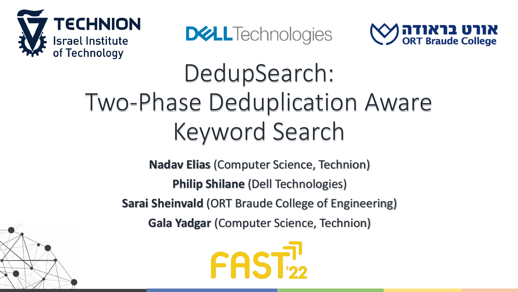

**DELL**Technologies



# DedupSearch: Two-Phase Deduplication Aware Keyword Search

**Nadav Elias** (Computer Science, Technion) **Philip Shilane** (Dell Technologies) **Sarai Sheinvald** (ORT Braude College of Engineering) **Gala Yadgar** (Computer Science, Technion)



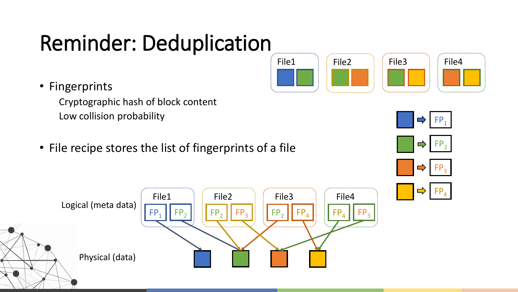### Reminder: Deduplication

• Fingerprints

Cryptographic hash of block content Low collision probability

• File recipe stores the list of fingerprints of a file







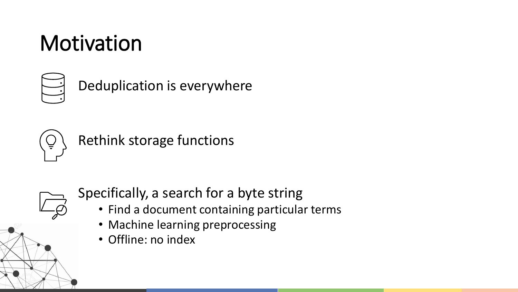### Motivation



Deduplication is everywhere



Rethink storage functions



Specifically, a search for a byte string

- Find a document containing particular terms
- Machine learning preprocessing
- Offline: no index

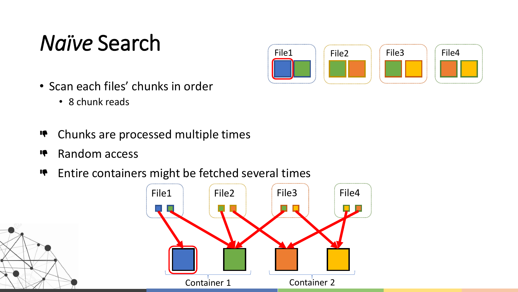### *Naïve* Search



- Scan each files' chunks in order
	- 8 chunk reads
- Chunks are processed multiple times **IÇ**
- Random access **IQ**
- Entire containers might be fetched several times **IQ**

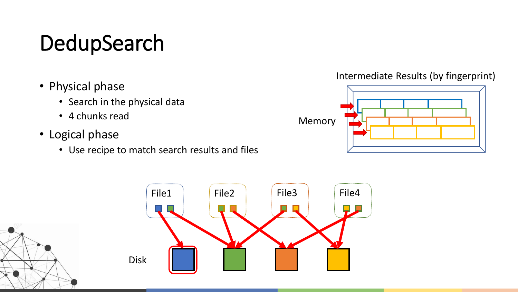## DedupSearch

- Physical phase
	- Search in the physical data
	- 4 chunks read
- Logical phase
	- Use recipe to match search results and files

#### Intermediate Results (by fingerprint)





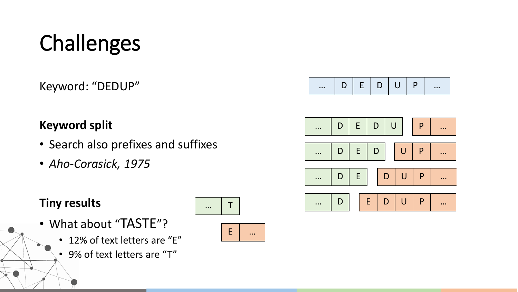# Challenges

Keyword: "DEDUP"

| $\cdots$ |  |  |  |  |  | $\bullet\bullet\bullet$ |
|----------|--|--|--|--|--|-------------------------|
|----------|--|--|--|--|--|-------------------------|

#### **Keyword split**

- Search also prefixes and suffixes
- *Aho-Corasick, 1975*

#### **Tiny results**

- What about "TASTE"?
	- 12% of text letters are "E"
	- 9% of text letters are "T"



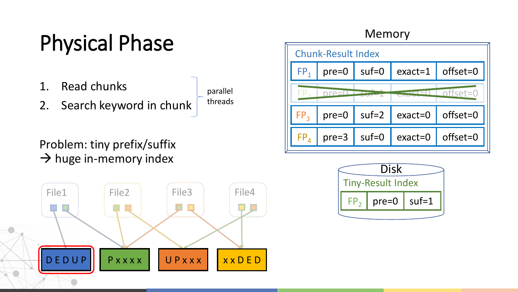## Physical Phase

- 1. Read chunks
- 2. Search keyword in chunk

parallel threads

#### Problem: tiny prefix/suffix  $\rightarrow$  huge in-memory index



#### Memory

![](_page_6_Figure_7.jpeg)

![](_page_6_Figure_8.jpeg)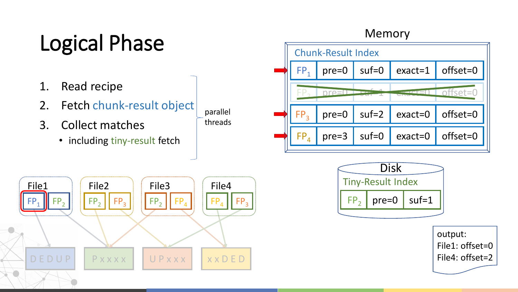## Logical Phase

- 1. Read recipe
- 2. Fetch chunk-result object
- 3. Collect matches
	- including tiny-result fetch

![](_page_7_Figure_5.jpeg)

#### Memory

![](_page_7_Figure_7.jpeg)

![](_page_7_Figure_8.jpeg)

![](_page_7_Figure_9.jpeg)

output: File1: offset=0 File4: offset=2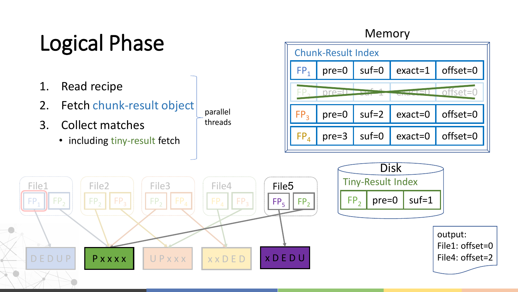## Logical Phase

- 1. Read recipe
- 2. Fetch chunk-result object
- 3. Collect matches
	- including tiny-result fetch

#### Memory

![](_page_8_Figure_6.jpeg)

![](_page_8_Figure_7.jpeg)

parallel threads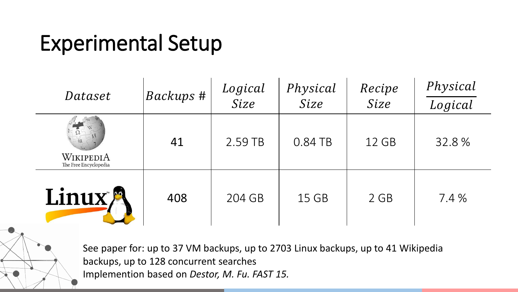### Experimental Setup

| Dataset                            | Backups # | Logical<br>Size | Physical<br>Size | Recipe<br>Size | Physical<br>Logical |
|------------------------------------|-----------|-----------------|------------------|----------------|---------------------|
| WIKIPEDIA<br>The Free Encyclopedia | 41        | 2.59 TB         | 0.84 TB          | 12 GB          | 32.8%               |
| Linux <sup>®</sup>                 | 408       | 204 GB          | 15 GB            | 2 GB           | 7.4 %               |

See paper for: up to 37 VM backups, up to 2703 Linux backups, up to 41 Wikipedia backups, up to 128 concurrent searches Implemention based on *Destor, M. Fu. FAST 15.*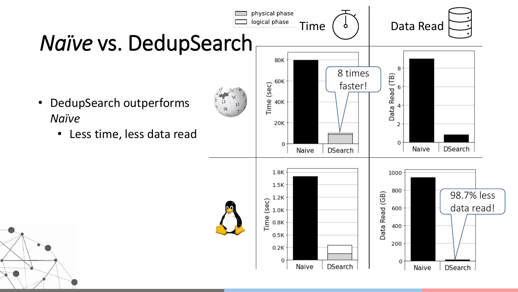![](_page_10_Figure_0.jpeg)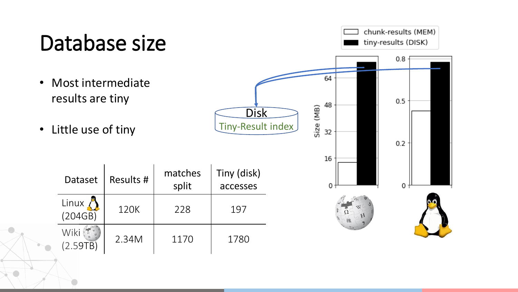### Database size

- Most intermediate results are tiny
- Little use of tiny

| Dataset         | Results # | matches<br>split | Tiny (disk)<br>accesses |
|-----------------|-----------|------------------|-------------------------|
| Linux $(204GB)$ | 120K      | 228              | 197                     |
| Wiki<br>(2.59)  | 2.34M     | 1170             | 1780                    |

![](_page_11_Figure_4.jpeg)